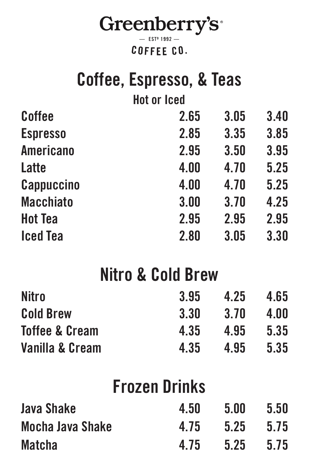

## Coffee, Espresso, & Teas Hot or Iced Coffee 2.65 3.05 3.40 Espresso 2.85 3.35 3.85 Americano 2.95 3.50 3.95

| Latte            | 4.00 | 4.70 | 5.25 |
|------------------|------|------|------|
| Cappuccino       | 4.00 | 4.70 | 5.25 |
| <b>Macchiato</b> | 3.00 | 3.70 | 4.25 |
| <b>Hot Tea</b>   | 2.95 | 2.95 | 2.95 |
| <b>Iced Tea</b>  | 2.80 | 3.05 | 3.30 |

# Nitro & Cold Brew

| <b>Nitro</b>     | 3.95 | 4.25 | 4.65 |
|------------------|------|------|------|
| <b>Cold Brew</b> | 3.30 | 3.70 | 4.00 |
| Toffee & Cream   | 4.35 | 4.95 | 5.35 |
| Vanilla & Cream  | 4.35 | 4.95 | 5.35 |

### Frozen Drinks

| Java Shake       | 4.50 | 5.00          | 5.50 |
|------------------|------|---------------|------|
| Mocha Java Shake | 4.75 | $5.25$ $5.75$ |      |
| <b>Matcha</b>    | 4.75 | 5.25          | 5.75 |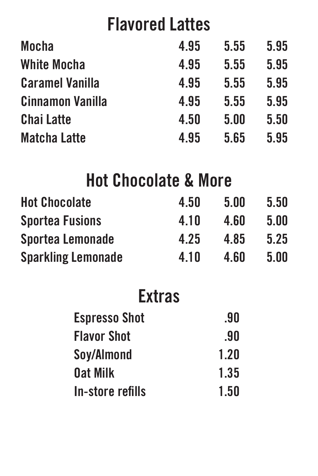### Flavored Lattes

| <b>Mocha</b>            | 4.95 | 5.55 | 5.95 |
|-------------------------|------|------|------|
| <b>White Mocha</b>      | 4.95 | 5.55 | 5.95 |
| <b>Caramel Vanilla</b>  | 4.95 | 5.55 | 5.95 |
| <b>Cinnamon Vanilla</b> | 4.95 | 5.55 | 5.95 |
| <b>Chai Latte</b>       | 4.50 | 5.00 | 5.50 |
| <b>Matcha Latte</b>     | 4.95 | 5.65 | 5.95 |

## Hot Chocolate & More

Flavor Shot .90 Soy/Almond 1.20 0at Milk 1.35 In-store refills 1.50

| <b>Hot Chocolate</b>      | 4.50 | 5.00 | 5.50 |
|---------------------------|------|------|------|
| <b>Sportea Fusions</b>    | 4.10 | 4.60 | 5.00 |
| Sportea Lemonade          | 4.25 | 4.85 | 5.25 |
| <b>Sparkling Lemonade</b> | 4.10 | 4.60 | 5.00 |

## Extras

#### Espresso Shot ... 90